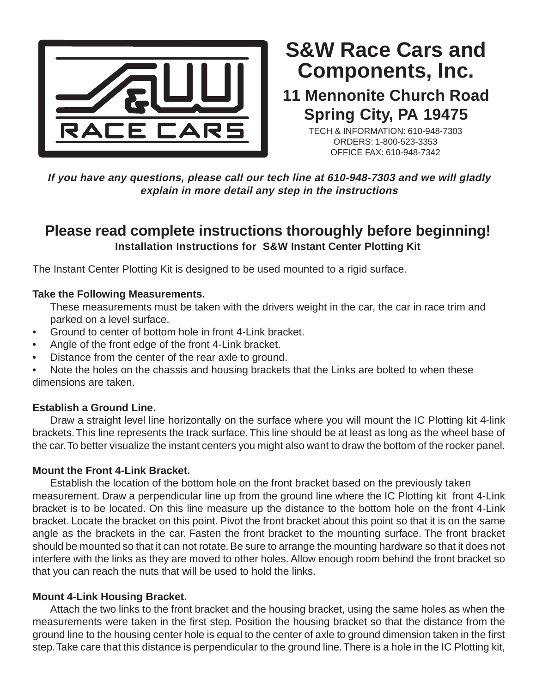

# **Components, Inc. S&W Race Cars and**

## **11 Mennonite Church Road Spring City, PA 19475**

TECH & INFORMATION: 610-948-7303 ORDERS: 1-800-523-3353 OFFICE FAX: 610-948-7342

**If you have any questions, please call our tech line at 610-948-7303 and we will gladly explain in more detail any step in the instructions**

### **Please read complete instructions thoroughly before beginning! Installation Instructions for S&W Instant Center Plotting Kit**

The Instant Center Plotting Kit is designed to be used mounted to a rigid surface.

#### **Take the Following Measurements.**

These measurements must be taken with the drivers weight in the car, the car in race trim and parked on a level surface.

- Ground to center of bottom hole in front 4-Link bracket.
- Angle of the front edge of the front 4-Link bracket.
- Distance from the center of the rear axle to ground.

Note the holes on the chassis and housing brackets that the Links are bolted to when these dimensions are taken.

#### **Establish a Ground Line.**

Draw a straight level line horizontally on the surface where you will mount the IC Plotting kit 4-link brackets. This line represents the track surface. This line should be at least as long as the wheel base of the car. To better visualize the instant centers you might also want to draw the bottom of the rocker panel.

#### **Mount the Front 4-Link Bracket.**

Establish the location of the bottom hole on the front bracket based on the previously taken measurement. Draw a perpendicular line up from the ground line where the IC Plotting kit front 4-Link bracket is to be located. On this line measure up the distance to the bottom hole on the front 4-Link bracket. Locate the bracket on this point. Pivot the front bracket about this point so that it is on the same angle as the brackets in the car. Fasten the front bracket to the mounting surface. The front bracket should be mounted so that it can not rotate. Be sure to arrange the mounting hardware so that it does not interfere with the links as they are moved to other holes. Allow enough room behind the front bracket so that you can reach the nuts that will be used to hold the links.

#### **Mount 4-Link Housing Bracket.**

Attach the two links to the front bracket and the housing bracket, using the same holes as when the measurements were taken in the first step. Position the housing bracket so that the distance from the ground line to the housing center hole is equal to the center of axle to ground dimension taken in the first step. Take care that this distance is perpendicular to the ground line. There is a hole in the IC Plotting kit,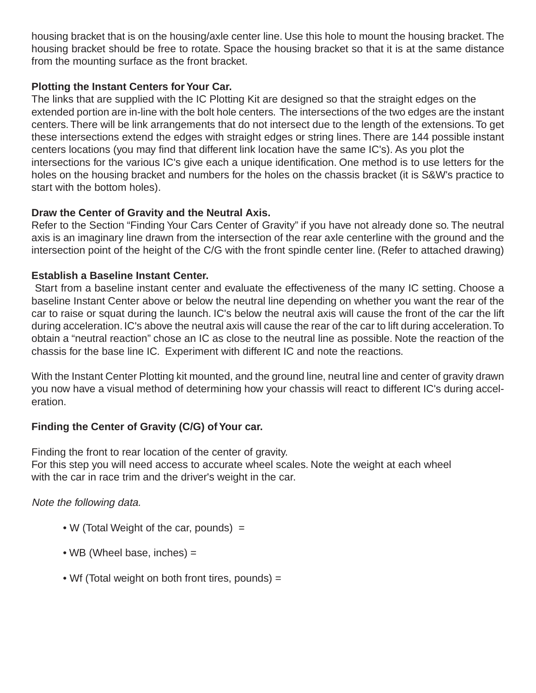housing bracket that is on the housing/axle center line. Use this hole to mount the housing bracket. The housing bracket should be free to rotate. Space the housing bracket so that it is at the same distance from the mounting surface as the front bracket.

#### **Plotting the Instant Centers for Your Car.**

The links that are supplied with the IC Plotting Kit are designed so that the straight edges on the extended portion are in-line with the bolt hole centers. The intersections of the two edges are the instant centers. There will be link arrangements that do not intersect due to the length of the extensions. To get these intersections extend the edges with straight edges or string lines. There are 144 possible instant centers locations (you may find that different link location have the same IC's). As you plot the intersections for the various IC's give each a unique identification. One method is to use letters for the holes on the housing bracket and numbers for the holes on the chassis bracket (it is S&W's practice to start with the bottom holes).

#### **Draw the Center of Gravity and the Neutral Axis.**

Refer to the Section "Finding Your Cars Center of Gravity" if you have not already done so. The neutral axis is an imaginary line drawn from the intersection of the rear axle centerline with the ground and the intersection point of the height of the C/G with the front spindle center line. (Refer to attached drawing)

#### **Establish a Baseline Instant Center.**

 Start from a baseline instant center and evaluate the effectiveness of the many IC setting. Choose a baseline Instant Center above or below the neutral line depending on whether you want the rear of the car to raise or squat during the launch. IC's below the neutral axis will cause the front of the car the lift during acceleration. IC's above the neutral axis will cause the rear of the car to lift during acceleration. To obtain a "neutral reaction" chose an IC as close to the neutral line as possible. Note the reaction of the chassis for the base line IC. Experiment with different IC and note the reactions.

With the Instant Center Plotting kit mounted, and the ground line, neutral line and center of gravity drawn you now have a visual method of determining how your chassis will react to different IC's during acceleration.

#### **Finding the Center of Gravity (C/G) of Your car.**

Finding the front to rear location of the center of gravity.

For this step you will need access to accurate wheel scales. Note the weight at each wheel with the car in race trim and the driver's weight in the car.

#### Note the following data.

- W (Total Weight of the car, pounds) =
- WB (Wheel base, inches) =
- Wf (Total weight on both front tires, pounds) =